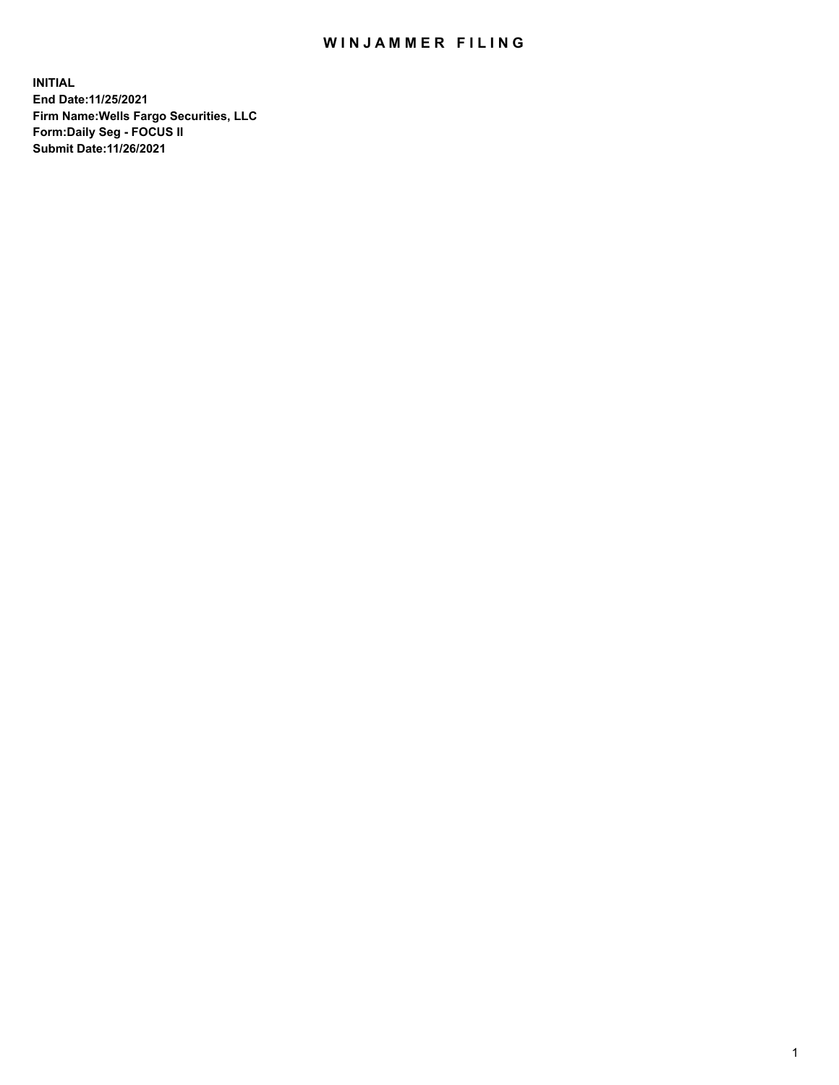## WIN JAMMER FILING

**INITIAL End Date:11/25/2021 Firm Name:Wells Fargo Securities, LLC Form:Daily Seg - FOCUS II Submit Date:11/26/2021**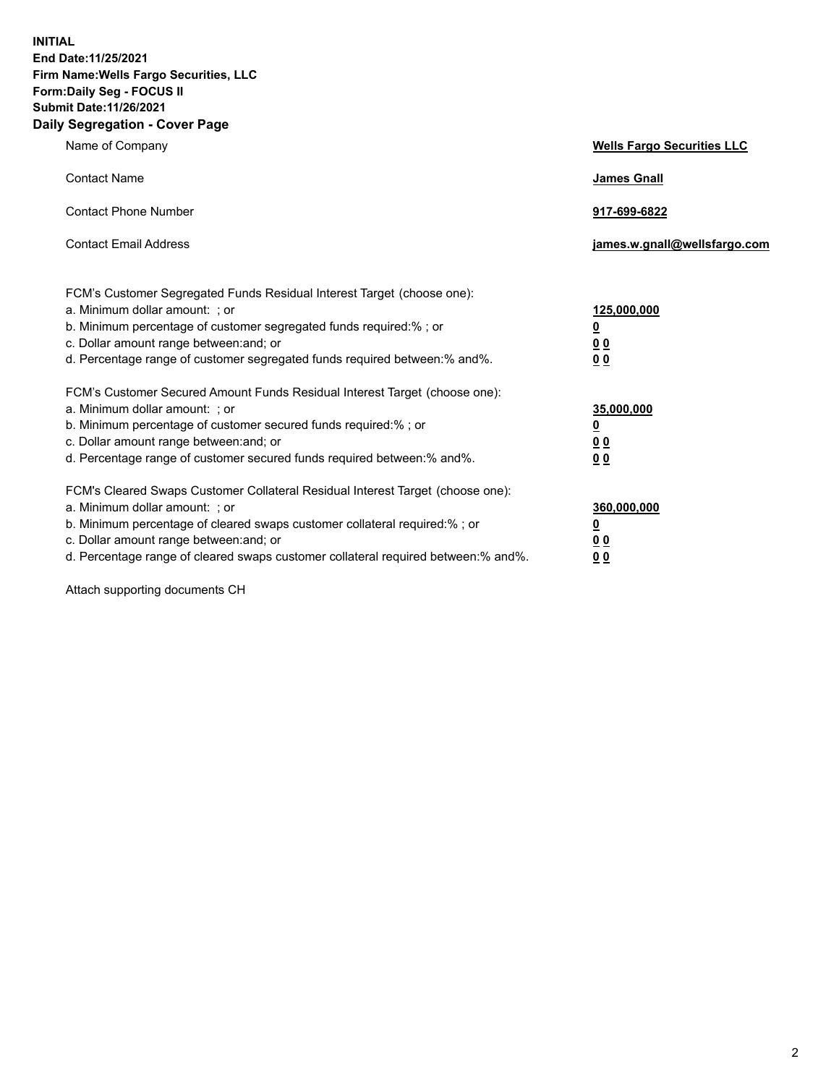**INITIAL End Date:11/25/2021 Firm Name:Wells Fargo Securities, LLC Form:Daily Seg - FOCUS II Submit Date:11/26/2021 Daily Segregation - Cover Page**

| Name of Company                                                                                                                                                                                                                                                                                                                | <b>Wells Fargo Securities LLC</b>                          |
|--------------------------------------------------------------------------------------------------------------------------------------------------------------------------------------------------------------------------------------------------------------------------------------------------------------------------------|------------------------------------------------------------|
| <b>Contact Name</b>                                                                                                                                                                                                                                                                                                            | <b>James Gnall</b>                                         |
| <b>Contact Phone Number</b>                                                                                                                                                                                                                                                                                                    | 917-699-6822                                               |
| <b>Contact Email Address</b>                                                                                                                                                                                                                                                                                                   | james.w.gnall@wellsfargo.com                               |
| FCM's Customer Segregated Funds Residual Interest Target (choose one):<br>a. Minimum dollar amount: ; or<br>b. Minimum percentage of customer segregated funds required:% ; or<br>c. Dollar amount range between: and; or<br>d. Percentage range of customer segregated funds required between:% and%.                         | 125,000,000<br><u>0</u><br>0 <sub>0</sub><br>00            |
| FCM's Customer Secured Amount Funds Residual Interest Target (choose one):<br>a. Minimum dollar amount: ; or<br>b. Minimum percentage of customer secured funds required:% ; or<br>c. Dollar amount range between: and; or<br>d. Percentage range of customer secured funds required between:% and%.                           | 35,000,000<br><u>0</u><br>0 <sub>0</sub><br>0 <sub>0</sub> |
| FCM's Cleared Swaps Customer Collateral Residual Interest Target (choose one):<br>a. Minimum dollar amount: ; or<br>b. Minimum percentage of cleared swaps customer collateral required:% ; or<br>c. Dollar amount range between: and; or<br>d. Percentage range of cleared swaps customer collateral required between:% and%. | 360,000,000<br><u>0</u><br>0 Q<br>00                       |

Attach supporting documents CH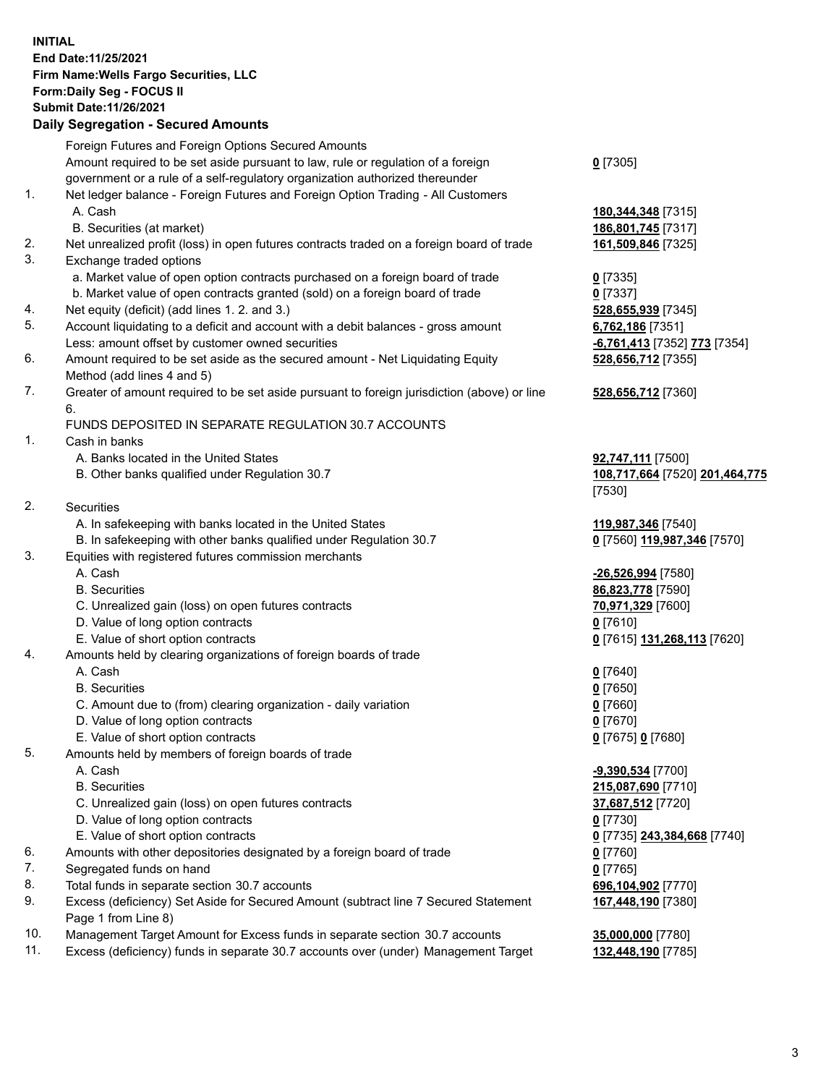**INITIAL End Date:11/25/2021 Firm Name:Wells Fargo Securities, LLC Form:Daily Seg - FOCUS II Submit Date:11/26/2021**

## **Daily Segregation - Secured Amounts**

|     | Foreign Futures and Foreign Options Secured Amounts                                         |                                |
|-----|---------------------------------------------------------------------------------------------|--------------------------------|
|     | Amount required to be set aside pursuant to law, rule or regulation of a foreign            | $0$ [7305]                     |
|     | government or a rule of a self-regulatory organization authorized thereunder                |                                |
| 1.  | Net ledger balance - Foreign Futures and Foreign Option Trading - All Customers             |                                |
|     | A. Cash                                                                                     | 180, 344, 348 [7315]           |
|     | B. Securities (at market)                                                                   | 186,801,745 [7317]             |
| 2.  | Net unrealized profit (loss) in open futures contracts traded on a foreign board of trade   | 161,509,846 [7325]             |
| 3.  | Exchange traded options                                                                     |                                |
|     | a. Market value of open option contracts purchased on a foreign board of trade              | $0$ [7335]                     |
|     | b. Market value of open contracts granted (sold) on a foreign board of trade                | $0$ [7337]                     |
| 4.  | Net equity (deficit) (add lines 1. 2. and 3.)                                               | 528,655,939 [7345]             |
| 5.  | Account liquidating to a deficit and account with a debit balances - gross amount           | 6,762,186 [7351]               |
|     | Less: amount offset by customer owned securities                                            | -6,761,413 [7352] 773 [7354]   |
| 6.  | Amount required to be set aside as the secured amount - Net Liquidating Equity              | 528,656,712 [7355]             |
|     | Method (add lines 4 and 5)                                                                  |                                |
| 7.  | Greater of amount required to be set aside pursuant to foreign jurisdiction (above) or line | 528,656,712 [7360]             |
|     | 6.                                                                                          |                                |
|     | FUNDS DEPOSITED IN SEPARATE REGULATION 30.7 ACCOUNTS                                        |                                |
| 1.  | Cash in banks                                                                               |                                |
|     | A. Banks located in the United States                                                       | 92,747,111 [7500]              |
|     | B. Other banks qualified under Regulation 30.7                                              | 108,717,664 [7520] 201,464,775 |
|     |                                                                                             | [7530]                         |
| 2.  | <b>Securities</b>                                                                           |                                |
|     | A. In safekeeping with banks located in the United States                                   | 119,987,346 [7540]             |
|     | B. In safekeeping with other banks qualified under Regulation 30.7                          | 0 [7560] 119,987,346 [7570]    |
| 3.  | Equities with registered futures commission merchants                                       |                                |
|     | A. Cash                                                                                     | -26,526,994 [7580]             |
|     | <b>B.</b> Securities                                                                        | 86,823,778 [7590]              |
|     | C. Unrealized gain (loss) on open futures contracts                                         | 70,971,329 [7600]              |
|     | D. Value of long option contracts                                                           | $0$ [7610]                     |
|     | E. Value of short option contracts                                                          | 0 [7615] 131,268,113 [7620]    |
| 4.  | Amounts held by clearing organizations of foreign boards of trade                           |                                |
|     | A. Cash                                                                                     | $0$ [7640]                     |
|     | <b>B.</b> Securities                                                                        | $0$ [7650]                     |
|     | C. Amount due to (from) clearing organization - daily variation                             | $0$ [7660]                     |
|     | D. Value of long option contracts                                                           | $0$ [7670]                     |
|     | E. Value of short option contracts                                                          | 0 [7675] 0 [7680]              |
| 5.  | Amounts held by members of foreign boards of trade                                          |                                |
|     | A. Cash                                                                                     | <u>-9,390,534</u> [7700]       |
|     | <b>B.</b> Securities                                                                        | 215,087,690 [7710]             |
|     | C. Unrealized gain (loss) on open futures contracts                                         | 37,687,512 [7720]              |
|     | D. Value of long option contracts                                                           | $0$ [7730]                     |
|     | E. Value of short option contracts                                                          | 0 [7735] 243,384,668 [7740]    |
| 6.  | Amounts with other depositories designated by a foreign board of trade                      | $0$ [7760]                     |
| 7.  | Segregated funds on hand                                                                    | $0$ [7765]                     |
| 8.  | Total funds in separate section 30.7 accounts                                               | 696,104,902 [7770]             |
| 9.  | Excess (deficiency) Set Aside for Secured Amount (subtract line 7 Secured Statement         | 167,448,190 [7380]             |
|     | Page 1 from Line 8)                                                                         |                                |
| 10. | Management Target Amount for Excess funds in separate section 30.7 accounts                 | 35,000,000 [7780]              |

11. Excess (deficiency) funds in separate 30.7 accounts over (under) Management Target **132,448,190** [7785]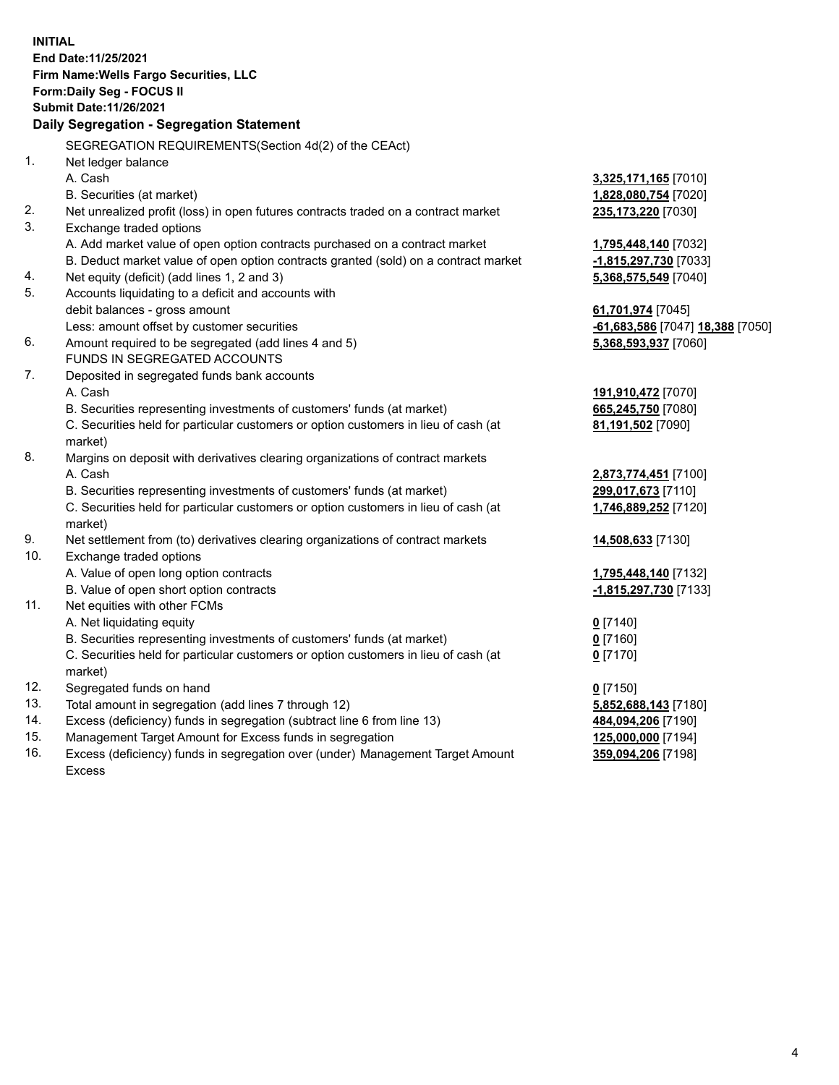**INITIAL End Date:11/25/2021 Firm Name:Wells Fargo Securities, LLC Form:Daily Seg - FOCUS II Submit Date:11/26/2021 Daily Segregation - Segregation Statement** SEGREGATION REQUIREMENTS(Section 4d(2) of the CEAct) 1. Net ledger balance A. Cash **3,325,171,165** [7010] B. Securities (at market) **1,828,080,754** [7020] 2. Net unrealized profit (loss) in open futures contracts traded on a contract market **235,173,220** [7030] 3. Exchange traded options A. Add market value of open option contracts purchased on a contract market **1,795,448,140** [7032] B. Deduct market value of open option contracts granted (sold) on a contract market **-1,815,297,730** [7033] 4. Net equity (deficit) (add lines 1, 2 and 3) **5,368,575,549** [7040] 5. Accounts liquidating to a deficit and accounts with debit balances - gross amount **61,701,974** [7045] Less: amount offset by customer securities **-61,683,586** [7047] **18,388** [7050] 6. Amount required to be segregated (add lines 4 and 5) **5,368,593,937** [7060] FUNDS IN SEGREGATED ACCOUNTS 7. Deposited in segregated funds bank accounts A. Cash **191,910,472** [7070] B. Securities representing investments of customers' funds (at market) **665,245,750** [7080] C. Securities held for particular customers or option customers in lieu of cash (at market) **81,191,502** [7090] 8. Margins on deposit with derivatives clearing organizations of contract markets A. Cash **2,873,774,451** [7100] B. Securities representing investments of customers' funds (at market) **299,017,673** [7110] C. Securities held for particular customers or option customers in lieu of cash (at market) **1,746,889,252** [7120] 9. Net settlement from (to) derivatives clearing organizations of contract markets **14,508,633** [7130] 10. Exchange traded options A. Value of open long option contracts **1,795,448,140** [7132] B. Value of open short option contracts **-1,815,297,730** [7133] 11. Net equities with other FCMs A. Net liquidating equity **0** [7140] B. Securities representing investments of customers' funds (at market) **0** [7160] C. Securities held for particular customers or option customers in lieu of cash (at market) **0** [7170] 12. Segregated funds on hand **0** [7150]

- 13. Total amount in segregation (add lines 7 through 12) **5,852,688,143** [7180]
- 14. Excess (deficiency) funds in segregation (subtract line 6 from line 13) **484,094,206** [7190]
- 15. Management Target Amount for Excess funds in segregation **125,000,000** [7194]
- 16. Excess (deficiency) funds in segregation over (under) Management Target Amount Excess

**359,094,206** [7198]